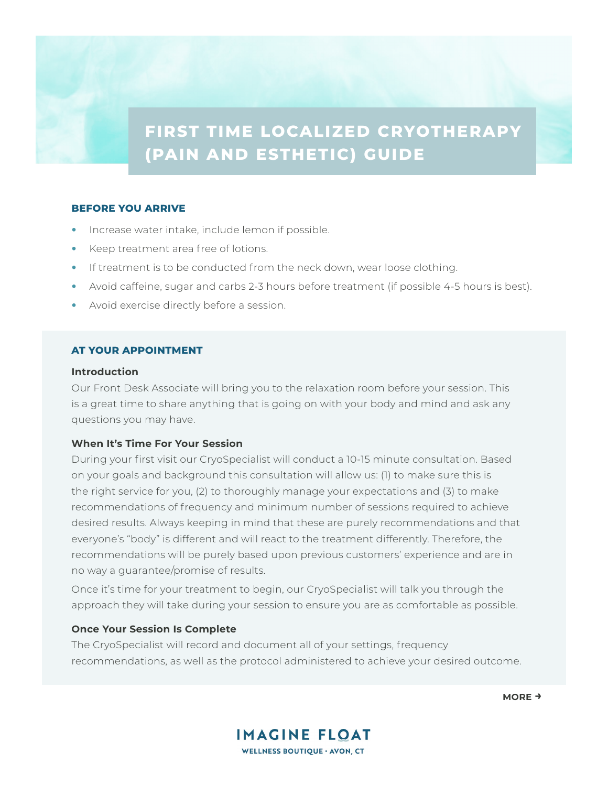# **FIRST TIME LOCALIZED CRYOTHERAPY (PAIN AND ESTHETIC) GUIDE**

## **BEFORE YOU ARRIVE**

- Increase water intake, include lemon if possible.
- Keep treatment area free of lotions.
- If treatment is to be conducted from the neck down, wear loose clothing.
- Avoid caffeine, sugar and carbs 2-3 hours before treatment (if possible 4-5 hours is best).
- Avoid exercise directly before a session.

## **AT YOUR APPOINTMENT**

#### **Introduction**

Our Front Desk Associate will bring you to the relaxation room before your session. This is a great time to share anything that is going on with your body and mind and ask any questions you may have.

## **When It's Time For Your Session**

During your first visit our CryoSpecialist will conduct a 10-15 minute consultation. Based on your goals and background this consultation will allow us: (1) to make sure this is the right service for you, (2) to thoroughly manage your expectations and (3) to make recommendations of frequency and minimum number of sessions required to achieve desired results. Always keeping in mind that these are purely recommendations and that everyone's "body" is different and will react to the treatment differently. Therefore, the recommendations will be purely based upon previous customers' experience and are in no way a guarantee/promise of results.

Once it's time for your treatment to begin, our CryoSpecialist will talk you through the approach they will take during your session to ensure you are as comfortable as possible.

### **Once Your Session Is Complete**

The CryoSpecialist will record and document all of your settings, frequency recommendations, as well as the protocol administered to achieve your desired outcome.



**MORE →**